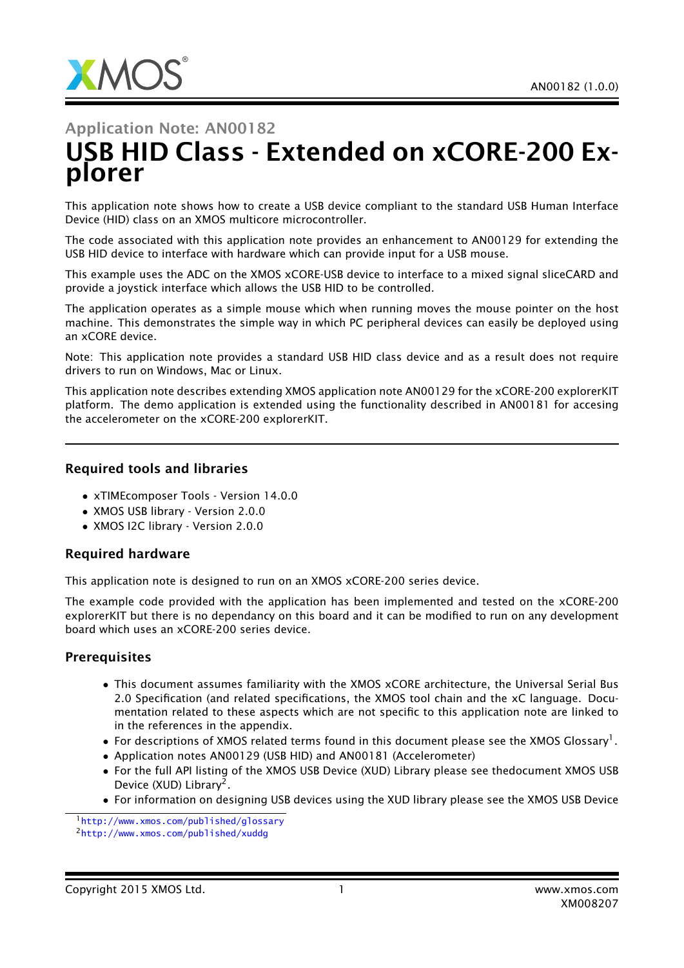# Application Note: AN00182 USB HID Class - Extended on xCORE-200 Explorer

This application note shows how to create a USB device compliant to the standard USB Human Interface Device (HID) class on an XMOS multicore microcontroller.

The code associated with this application note provides an enhancement to AN00129 for extending the USB HID device to interface with hardware which can provide input for a USB mouse.

This example uses the ADC on the XMOS xCORE-USB device to interface to a mixed signal sliceCARD and provide a joystick interface which allows the USB HID to be controlled.

The application operates as a simple mouse which when running moves the mouse pointer on the host machine. This demonstrates the simple way in which PC peripheral devices can easily be deployed using an xCORE device.

Note: This application note provides a standard USB HID class device and as a result does not require drivers to run on Windows, Mac or Linux.

This application note describes extending XMOS application note AN00129 for the xCORE-200 explorerKIT platform. The demo application is extended using the functionality described in AN00181 for accesing the accelerometer on the xCORE-200 explorerKIT.

#### Required tools and libraries

- xTIMEcomposer Tools Version 14.0.0
- XMOS USB library Version 2.0.0
- XMOS I2C library Version 2.0.0

#### Required hardware

This application note is designed to run on an XMOS xCORE-200 series device.

The example code provided with the application has been implemented and tested on the xCORE-200 explorerKIT but there is no dependancy on this board and it can be modified to run on any development board which uses an xCORE-200 series device.

#### **Prerequisites**

- This document assumes familiarity with the XMOS xCORE architecture, the Universal Serial Bus 2.0 Specification (and related specifications, the XMOS tool chain and the xC language. Documentation related to these aspects which are not specific to this application note are linked to in the references in the appendix.
- $\bullet$  For descriptions of XMOS related terms found in this document please see the XMOS Glossary<sup>1</sup>.
- Application notes AN00129 (USB HID) and AN00181 (Accelerometer)
- For the full API listing of the XMOS USB Device (XUD) Library please see thedocument XMOS USB Device (XUD) Library<sup>2</sup>.
- For information on designing USB devices using the XUD library please see the XMOS USB Device

<sup>1</sup><http://www.xmos.com/published/glossary>

<sup>2</sup><http://www.xmos.com/published/xuddg>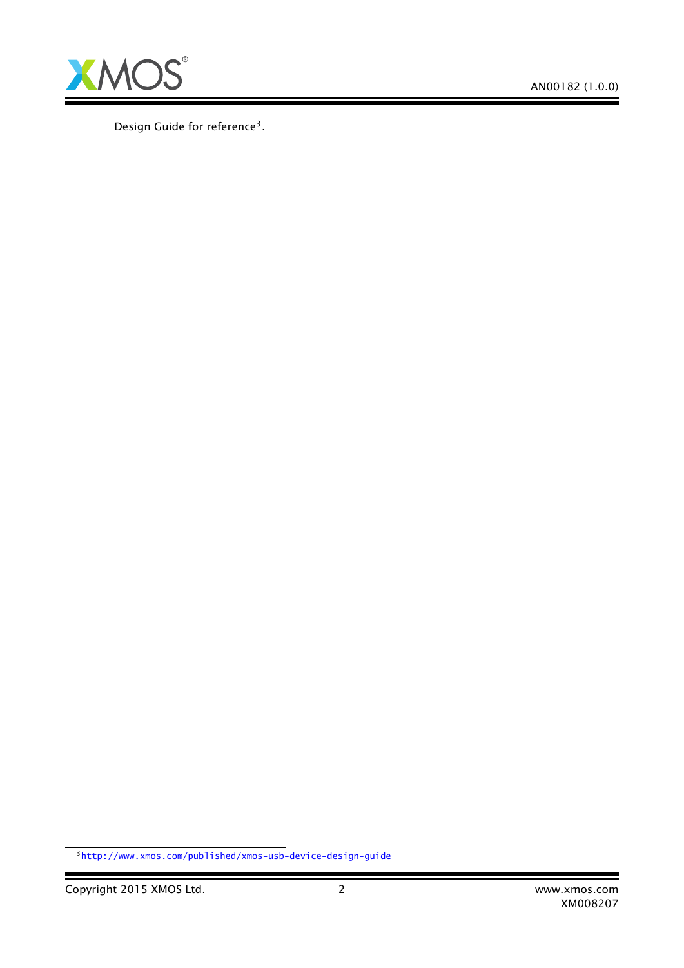

Design Guide for reference<sup>3</sup>.

Ξ

<sup>3</sup><http://www.xmos.com/published/xmos-usb-device-design-guide>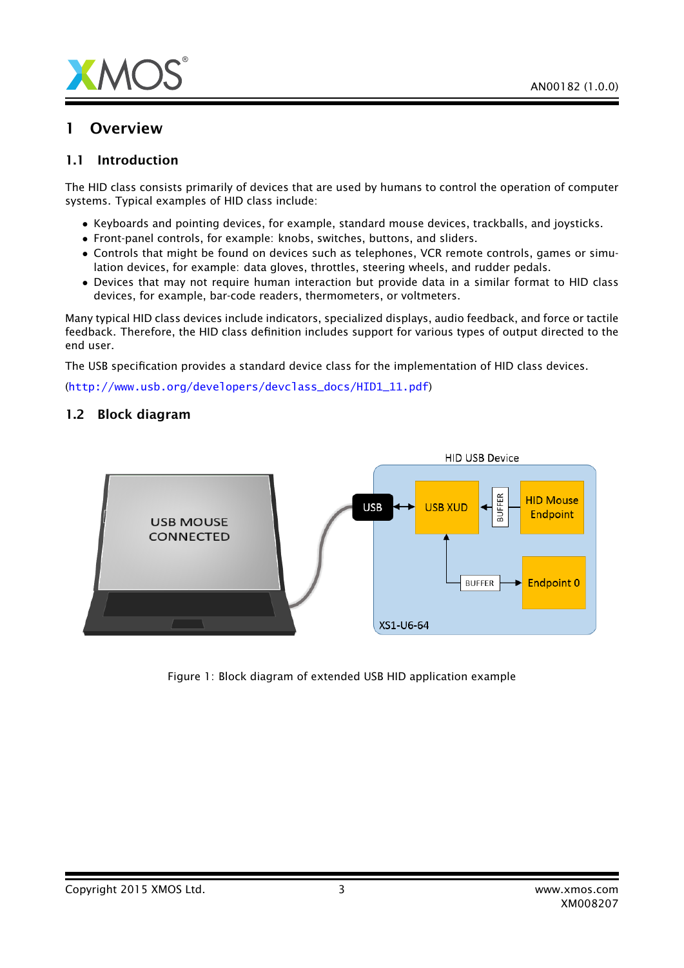

### 1 Overview

### 1.1 Introduction

The HID class consists primarily of devices that are used by humans to control the operation of computer systems. Typical examples of HID class include:

- Keyboards and pointing devices, for example, standard mouse devices, trackballs, and joysticks.
- Front-panel controls, for example: knobs, switches, buttons, and sliders.
- Controls that might be found on devices such as telephones, VCR remote controls, games or simulation devices, for example: data gloves, throttles, steering wheels, and rudder pedals.
- Devices that may not require human interaction but provide data in a similar format to HID class devices, for example, bar-code readers, thermometers, or voltmeters.

Many typical HID class devices include indicators, specialized displays, audio feedback, and force or tactile feedback. Therefore, the HID class definition includes support for various types of output directed to the end user.

The USB specification provides a standard device class for the implementation of HID class devices.

([http://www.usb.org/developers/devclass\\_docs/HID1\\_11.pdf](http://www.usb.org/developers/devclass_docs/HID1_11.pdf))

#### 1.2 Block diagram



Figure 1: Block diagram of extended USB HID application example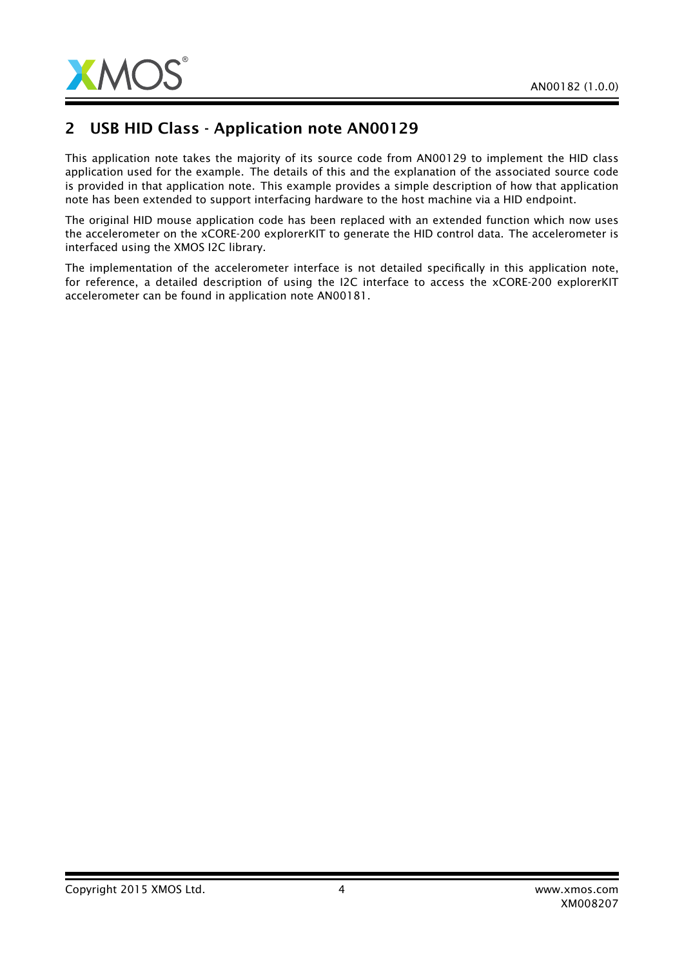

# 2 USB HID Class - Application note AN00129

This application note takes the majority of its source code from AN00129 to implement the HID class application used for the example. The details of this and the explanation of the associated source code is provided in that application note. This example provides a simple description of how that application note has been extended to support interfacing hardware to the host machine via a HID endpoint.

The original HID mouse application code has been replaced with an extended function which now uses the accelerometer on the xCORE-200 explorerKIT to generate the HID control data. The accelerometer is interfaced using the XMOS I2C library.

The implementation of the accelerometer interface is not detailed specifically in this application note, for reference, a detailed description of using the I2C interface to access the xCORE-200 explorerKIT accelerometer can be found in application note AN00181.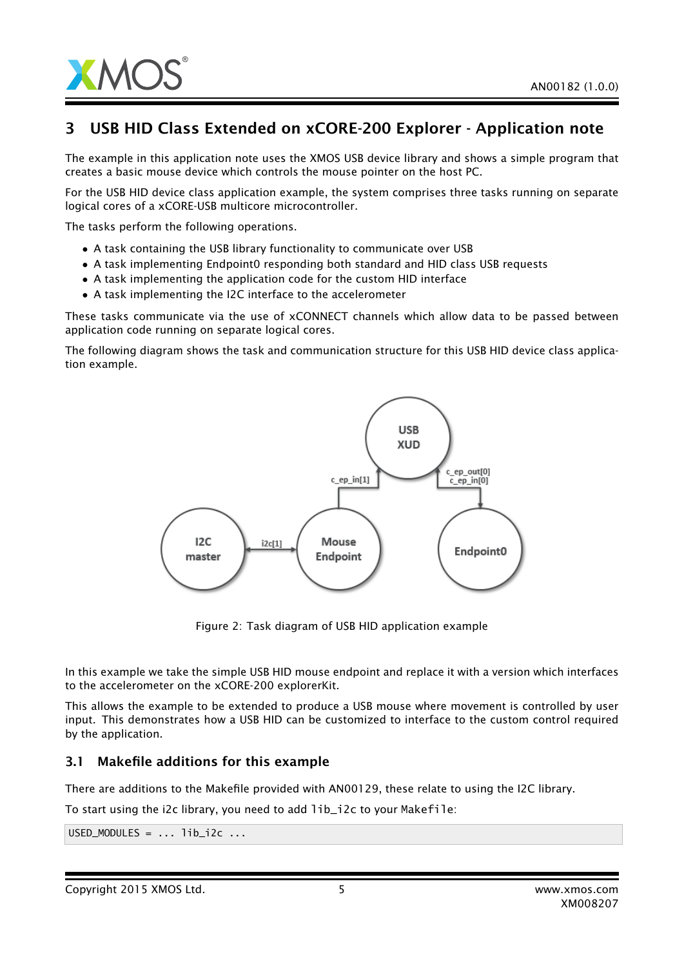

# 3 USB HID Class Extended on xCORE-200 Explorer - Application note

The example in this application note uses the XMOS USB device library and shows a simple program that creates a basic mouse device which controls the mouse pointer on the host PC.

For the USB HID device class application example, the system comprises three tasks running on separate logical cores of a xCORE-USB multicore microcontroller.

The tasks perform the following operations.

- A task containing the USB library functionality to communicate over USB
- A task implementing Endpoint0 responding both standard and HID class USB requests
- A task implementing the application code for the custom HID interface
- A task implementing the I2C interface to the accelerometer

These tasks communicate via the use of xCONNECT channels which allow data to be passed between application code running on separate logical cores.

The following diagram shows the task and communication structure for this USB HID device class application example.



Figure 2: Task diagram of USB HID application example

In this example we take the simple USB HID mouse endpoint and replace it with a version which interfaces to the accelerometer on the xCORE-200 explorerKit.

This allows the example to be extended to produce a USB mouse where movement is controlled by user input. This demonstrates how a USB HID can be customized to interface to the custom control required by the application.

### 3.1 Makefile additions for this example

There are additions to the Makefile provided with AN00129, these relate to using the I2C library.

To start using the i2c library, you need to add lib\_i2c to your Makefile:

 $USED_MODULES = ... lib_12c ...$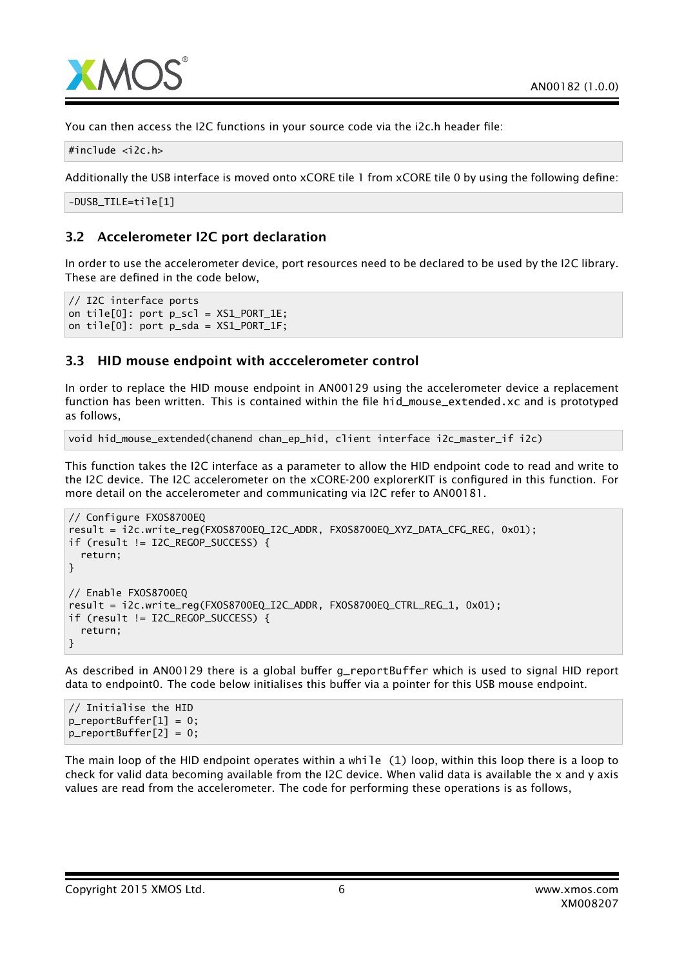

You can then access the I2C functions in your source code via the i2c.h header file:

#include <i2c.h>

Additionally the USB interface is moved onto xCORE tile 1 from xCORE tile 0 by using the following define:

-DUSB\_TILE=tile[1]

### 3.2 Accelerometer I2C port declaration

In order to use the accelerometer device, port resources need to be declared to be used by the I2C library. These are defined in the code below,

```
// I2C interface ports
on tile[0]: port p\_sc] = XS1_PORT_1E;
on tile[0]: port p_sda = XS1_PORT_1F;
```
### 3.3 HID mouse endpoint with acccelerometer control

In order to replace the HID mouse endpoint in AN00129 using the accelerometer device a replacement function has been written. This is contained within the file hid\_mouse\_extended.xc and is prototyped as follows,

void hid\_mouse\_extended(chanend chan\_ep\_hid, client interface i2c\_master\_if i2c)

This function takes the I2C interface as a parameter to allow the HID endpoint code to read and write to the I2C device. The I2C accelerometer on the xCORE-200 explorerKIT is configured in this function. For more detail on the accelerometer and communicating via I2C refer to AN00181.

```
// Configure FXOS8700EQ
result = i2c.write_reg(FXOS8700EQ_I2C_ADDR, FXOS8700EQ_XYZ_DATA_CFG_REG, 0x01);
if (result != I2C_REGOP_SUCCESS) {
 return;
}
// Enable FXOS8700EQ
result = i2c.write_reg(FXOS8700EQ_I2C_ADDR, FXOS8700EQ_CTRL_REG_1, 0x01);
if (result != I2C_REGOP_SUCCESS) {
 return;
}
```
As described in AN00129 there is a global buffer g\_reportBuffer which is used to signal HID report data to endpoint0. The code below initialises this buffer via a pointer for this USB mouse endpoint.

// Initialise the HID  $p$ \_reportBuffer $[1] = 0$ ; p\_reportBuffer[2] = 0;

The main loop of the HID endpoint operates within a while (1) loop, within this loop there is a loop to check for valid data becoming available from the I2C device. When valid data is available the x and y axis values are read from the accelerometer. The code for performing these operations is as follows,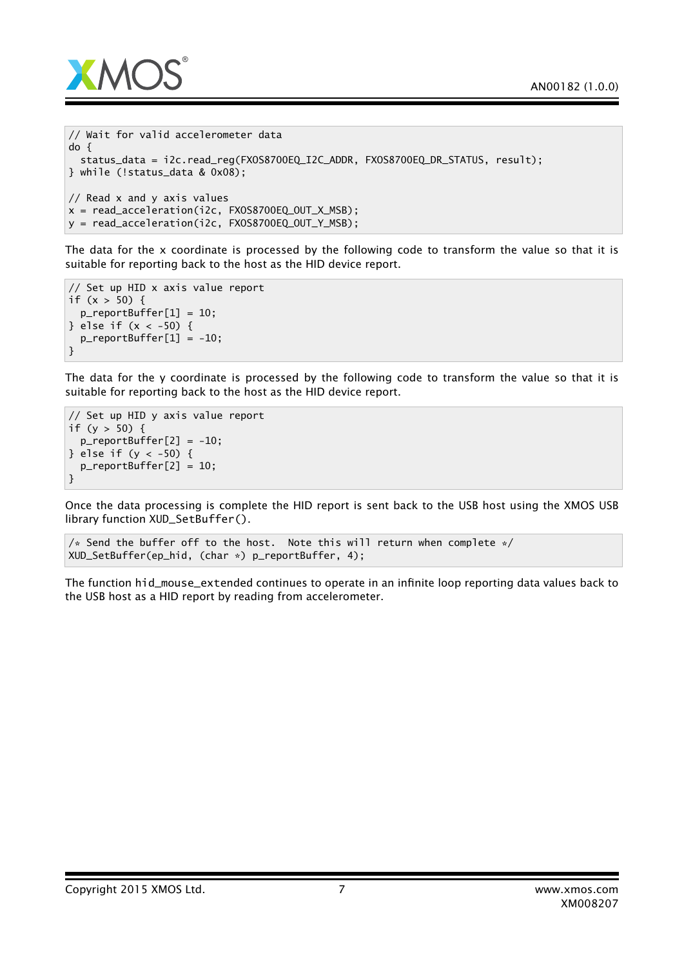

```
// Wait for valid accelerometer data
do {
 status_data = i2c.read_reg(FXOS8700EQ_I2C_ADDR, FXOS8700EQ_DR_STATUS, result);
} while (!status_data & 0x08);
// Read x and y axis values
x = read\_acceleration(i2c, FXOS8700EQ_OUT_X_MSB);y = read_acceleration(i2c, FXOS8700EQ_OUT_Y_MSB);
```
The data for the x coordinate is processed by the following code to transform the value so that it is suitable for reporting back to the host as the HID device report.

```
// Set up HID x axis value report
if (x > 50) {
 p_reportBuffer[1] = 10;
} else if (x < -50) {
 p_reportBuffer[1] = -10;
}
```
The data for the y coordinate is processed by the following code to transform the value so that it is suitable for reporting back to the host as the HID device report.

```
// Set up HID y axis value report
if (y > 50) {
 p_reportBuffer[2] = -10;
} else if (y < -50) {
 p_reportBuffer[2] = 10;
}
```
Once the data processing is complete the HID report is sent back to the USB host using the XMOS USB library function XUD\_SetBuffer().

```
/* Send the buffer off to the host. Note this will return when complete */XUD_SetBuffer(ep_hid, (char *) p_reportBuffer, 4);
```
The function hid\_mouse\_extended continues to operate in an infinite loop reporting data values back to the USB host as a HID report by reading from accelerometer.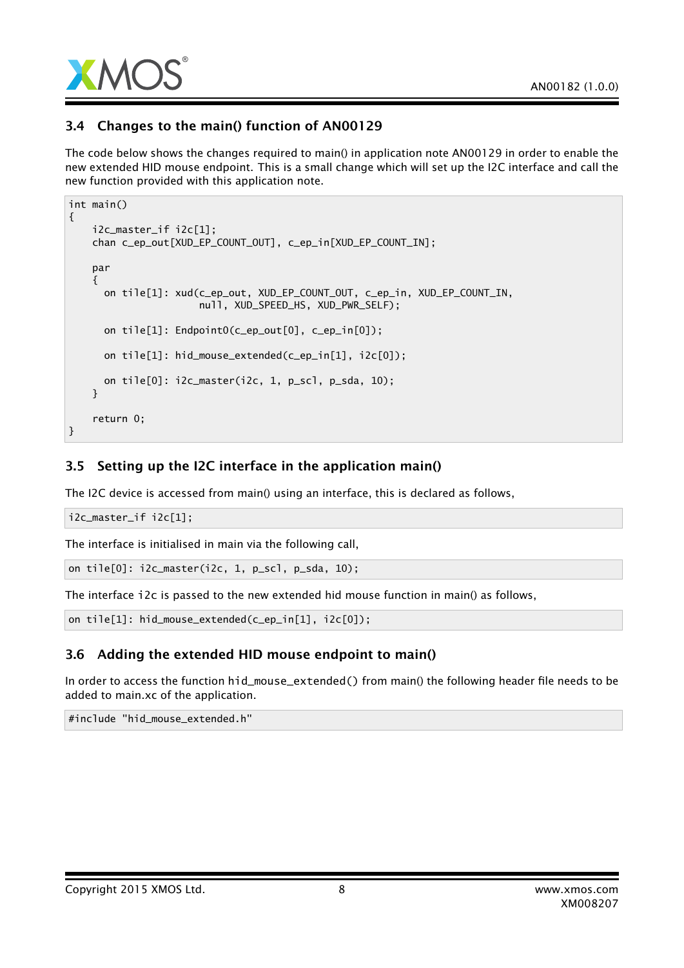

### 3.4 Changes to the main() function of AN00129

The code below shows the changes required to main() in application note AN00129 in order to enable the new extended HID mouse endpoint. This is a small change which will set up the I2C interface and call the new function provided with this application note.

```
int main()
{
    i2c_master_if i2c[1];
    chan c_ep_out[XUD_EP_COUNT_OUT], c_ep_in[XUD_EP_COUNT_IN];
    par
    {
      on tile[1]: xud(c_ep_out, XUD_EP_COUNT_OUT, c_ep_in, XUD_EP_COUNT_IN,
                      null, XUD_SPEED_HS, XUD_PWR_SELF);
     on tile[1]: Endpoint0(c_ep_out[0], c_ep_in[0]);
     on tile[1]: hid_mouse_extended(c_ep_in[1], i2c[0]);
     on tile[0]: i2c_master(i2c, 1, p_scl, p_sda, 10);
    }
    return 0;
}
```
### 3.5 Setting up the I2C interface in the application main()

The I2C device is accessed from main() using an interface, this is declared as follows,

i2c\_master\_if i2c[1];

The interface is initialised in main via the following call,

on tile[0]: i2c\_master(i2c, 1, p\_scl, p\_sda, 10);

The interface i2c is passed to the new extended hid mouse function in main() as follows,

on tile[1]: hid\_mouse\_extended(c\_ep\_in[1], i2c[0]);

### 3.6 Adding the extended HID mouse endpoint to main()

In order to access the function hid\_mouse\_extended() from main() the following header file needs to be added to main.xc of the application.

#include "hid\_mouse\_extended.h"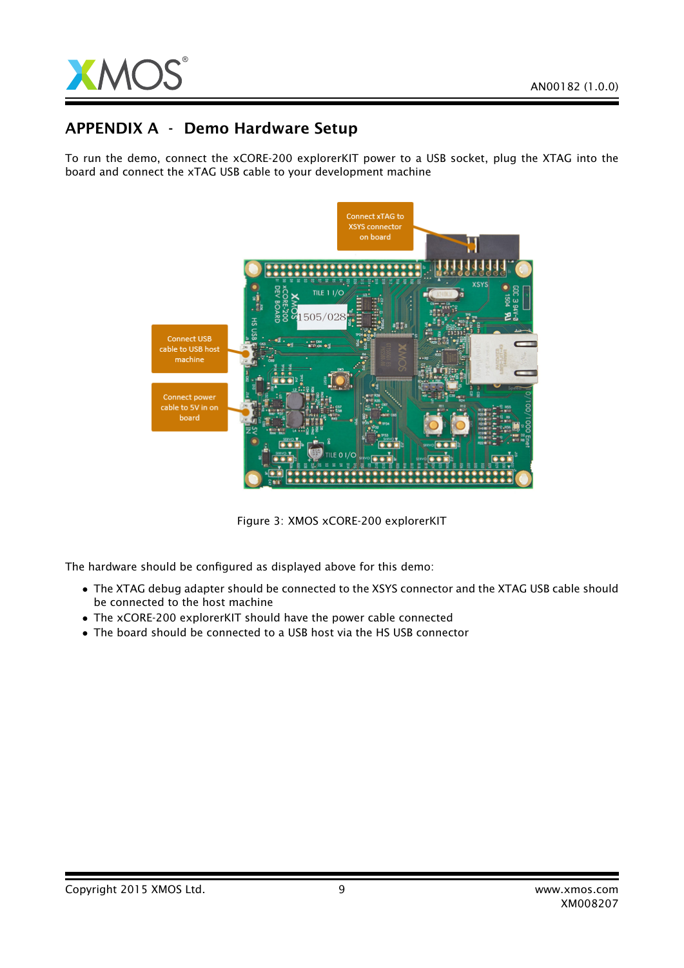

## APPENDIX A - Demo Hardware Setup

To run the demo, connect the xCORE-200 explorerKIT power to a USB socket, plug the XTAG into the board and connect the xTAG USB cable to your development machine



Figure 3: XMOS xCORE-200 explorerKIT

The hardware should be configured as displayed above for this demo:

- The XTAG debug adapter should be connected to the XSYS connector and the XTAG USB cable should be connected to the host machine
- The xCORE-200 explorerKIT should have the power cable connected
- The board should be connected to a USB host via the HS USB connector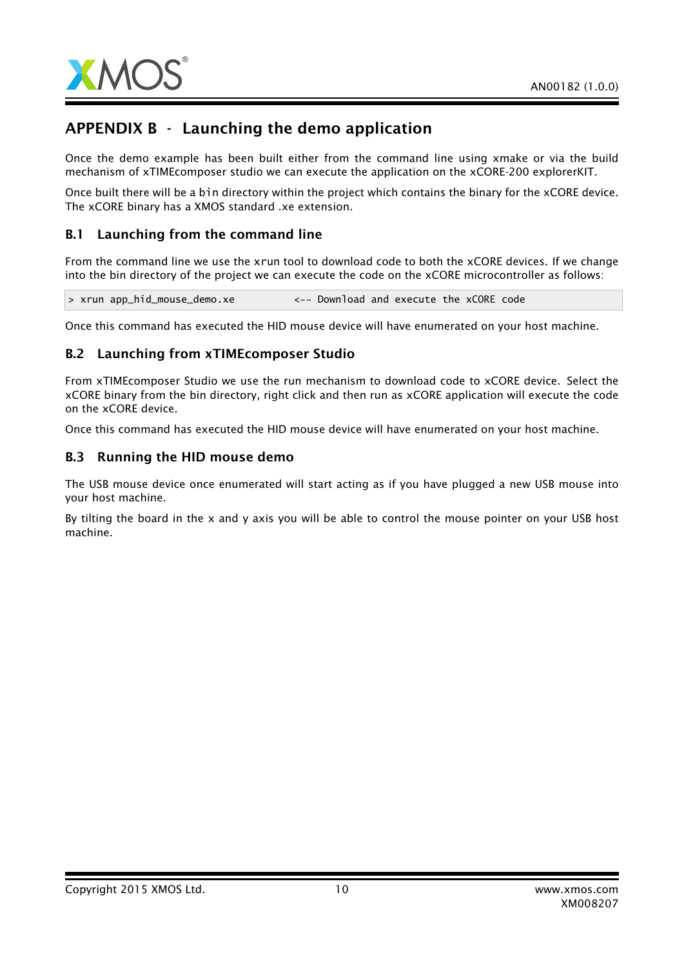

# APPENDIX B - Launching the demo application

Once the demo example has been built either from the command line using xmake or via the build mechanism of xTIMEcomposer studio we can execute the application on the xCORE-200 explorerKIT.

Once built there will be a bin directory within the project which contains the binary for the xCORE device. The xCORE binary has a XMOS standard .xe extension.

### B.1 Launching from the command line

From the command line we use the xrun tool to download code to both the xCORE devices. If we change into the bin directory of the project we can execute the code on the xCORE microcontroller as follows:

> xrun app\_hid\_mouse\_demo.xe <-- Download and execute the xCORE code

Once this command has executed the HID mouse device will have enumerated on your host machine.

### B.2 Launching from xTIMEcomposer Studio

From xTIMEcomposer Studio we use the run mechanism to download code to xCORE device. Select the xCORE binary from the bin directory, right click and then run as xCORE application will execute the code on the xCORE device.

Once this command has executed the HID mouse device will have enumerated on your host machine.

#### B.3 Running the HID mouse demo

The USB mouse device once enumerated will start acting as if you have plugged a new USB mouse into your host machine.

By tilting the board in the x and y axis you will be able to control the mouse pointer on your USB host machine.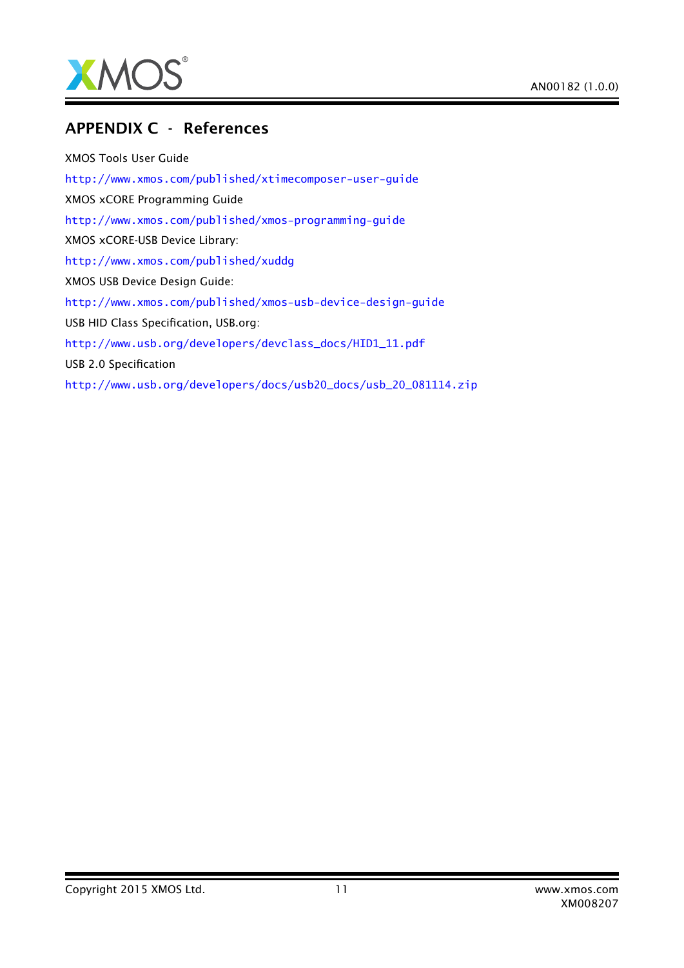

### APPENDIX C - References

XMOS Tools User Guide <http://www.xmos.com/published/xtimecomposer-user-guide> XMOS xCORE Programming Guide <http://www.xmos.com/published/xmos-programming-guide> XMOS xCORE-USB Device Library: <http://www.xmos.com/published/xuddg> XMOS USB Device Design Guide: <http://www.xmos.com/published/xmos-usb-device-design-guide> USB HID Class Specification, USB.org: [http://www.usb.org/developers/devclass\\_docs/HID1\\_11.pdf](http://www.usb.org/developers/devclass_docs/HID1_11.pdf) USB 2.0 Specification [http://www.usb.org/developers/docs/usb20\\_docs/usb\\_20\\_081114.zip](http://www.usb.org/developers/docs/usb20_docs/usb_20_081114.zip)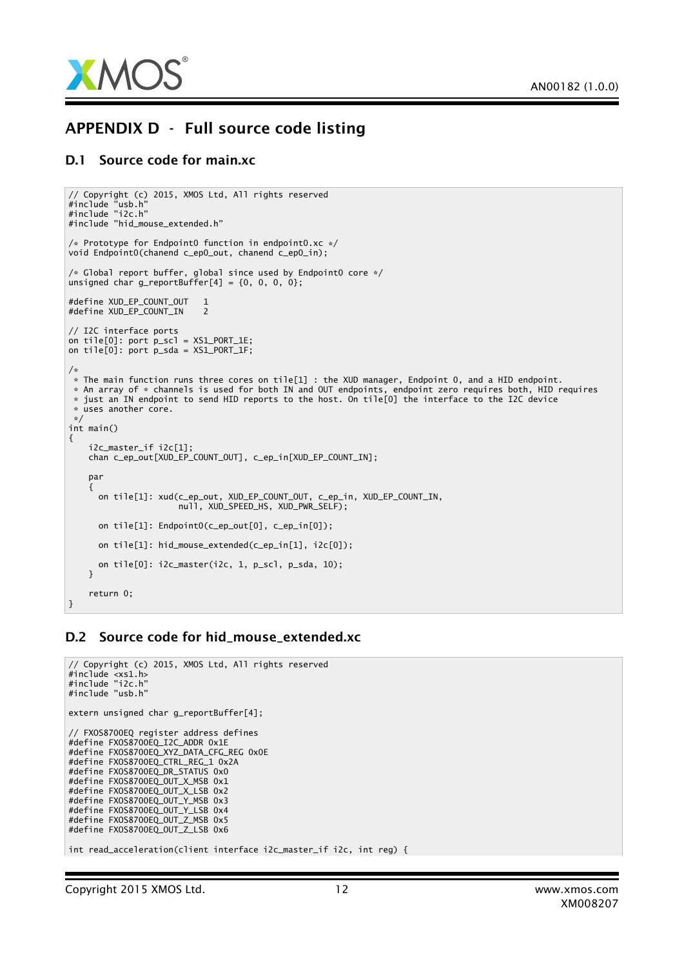

## APPENDIX D - Full source code listing

#### D.1 Source code for main.xc

```
// Copyright (c) 2015, XMOS Ltd, All rights reserved
#include "usb.h"
#include "i2c.h"
#include "hid_mouse_extended.h"
/* Prototype for Endpoint0 function in endpoint0.xc */
void Endpoint0(chanend c_ep0_out, chanend c_ep0_in);
/* Global report buffer, global since used by Endpoint0 core */
unsigned char g_reportBuffer[4] = {0, 0, 0, 0};
#define XUD_EP_COUNT_OUT 1
#define XUD EP COUNT IN 2
// I2C interface ports
on tile[0]: port p\_sc] = XS1_PORT_1E;
on tile[0]: port p_sda = XS1_PORT_1F;
/*
 * The main function runs three cores on tile[1] : the XUD manager, Endpoint O, and a HID endpoint.
 * An array of * channels is used for both IN and OUT endpoints, endpoint zero requires both, HID requires
 * just an IN endpoint to send HID reports to the host. On tile[0] the interface to the I2C device
 * uses another core.
 */
int main()
{
    i2c_master_if i2c[1];
    chan c_ep_out[XUD_EP_COUNT_OUT], c_ep_in[XUD_EP_COUNT_IN];
    par
    {
      on tile[1]: xud(c_ep_out, XUD_EP_COUNT_OUT, c_ep_in, XUD_EP_COUNT_IN,
                       null, XUD_SPEED_HS, XUD_PWR_SELF);
      on tile[1]: Endpoint0(c_ep_out[0], c_ep_in[0]);
      on tile[1]: hid_mouse_extended(c_ep_in[1], i2c[0]);
      on tile[0]: i2c_master(i2c, 1, p_scl, p_sda, 10);
    }
    return 0;
}
```
### D.2 Source code for hid\_mouse\_extended.xc

```
// Copyright (c) 2015, XMOS Ltd, All rights reserved
#include <xs1.h>
#include "i2c.h"
#include "usb.h"
extern unsigned char g_reportBuffer[4];
// FXOS8700EQ register address defines
#define FXOS8700EQ_I2C_ADDR 0x1E
#define FXOS8700EQ_XYZ_DATA_CFG_REG 0x0E
#define FXOS8700EQ_CTRL_REG_1 0x2A
#define FXOS8700EQ_DR_STATUS 0x0
#define FXOS8700EQ_OUT_X_MSB 0x1
#define FXOS8700EQ_OUT_X_LSB 0x2
#define FXOS8700EQ_OUT_Y_MSB 0x3
#define FXOS8700EQ_OUT_Y_LSB 0x4
#define FXOS8700EQ_OUT_Z_MSB 0x5
#define FXOS8700EQ_OUT_Z_LSB 0x6
int read_acceleration(client interface i2c_master_if i2c, int reg) {
```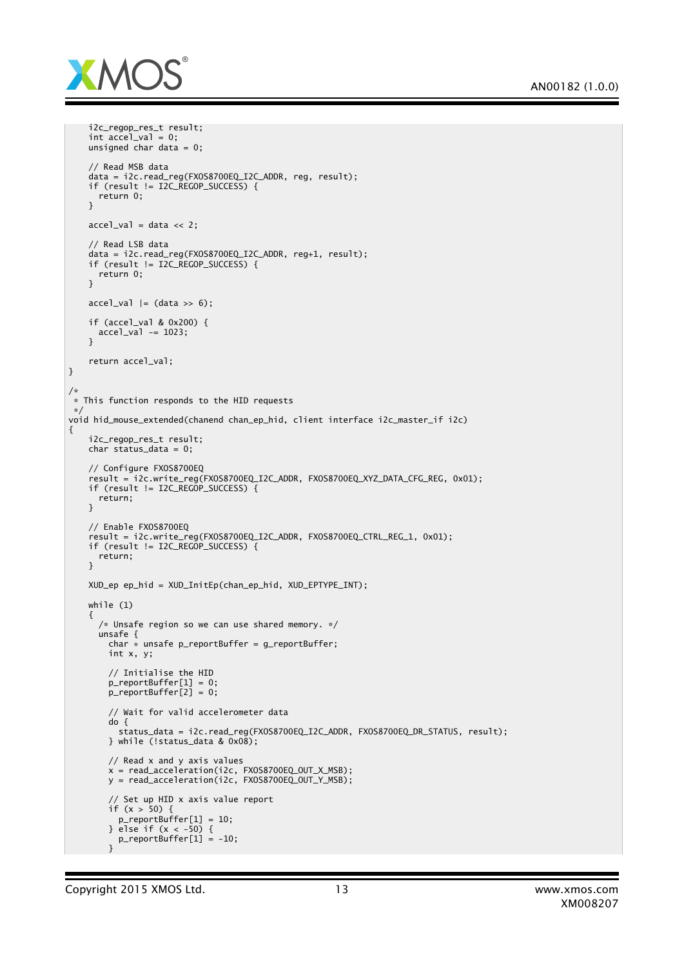

```
i2c_regop_res_t result;
    int accel_val = 0;
    unsigned char data = 0;
    // Read MSB data
    data = i2c.read_reg(FXOS8700EQ_I2C_ADDR, reg, result);
    if (result != I2C_REGOP_SUCCESS) {
     return 0;
    }
   accel_val = data \ll 2;// Read LSB data
    data = i2c.read_reg(FXOS8700EQ_I2C_ADDR, reg+1, result);
    if (result != I2C_REGOP_SUCCESS) {
      return 0;
    }
   accel_val |= (data \gg 6);
   if (accel_val & 0x200) {
     accel_val -= 1023;
    }
    return accel_val;
}
/*
 * This function responds to the HID requests
*/
void hid_mouse_extended(chanend chan_ep_hid, client interface i2c_master_if i2c)
{
    i2c_regop_res_t_result;
    char status_data = 0;
    // Configure FXOS8700EQ
    result = i2c.write_reg(FXOS8700EQ_I2C_ADDR, FXOS8700EQ_XYZ_DATA_CFG_REG, 0x01);
    if (result != I2C_REGOP_SUCCESS) {
      return;
    }
    // Enable FXOS8700EQ
    result = i2c.write_reg(FXOS8700EQ_I2C_ADDR, FXOS8700EQ_CTRL_REG_1, 0x01);
    if (result != I2C_REGOP_SUCCESS) {
     return;
    }
   XUD_ep ep_hid = XUD_InitEp(chan_ep_hid, XUD_EPTYPE_INT);
    while (1)
    {
      /* Unsafe region so we can use shared memory. */
      unsafe {
        char * unsafe p_reportBuffer = g_reportBuffer;
        int x, y;
        // Initialise the HID
        p_reportBuffer[1] = 0;
        p_reportBuffer[2] = 0;
        // Wait for valid accelerometer data
        do {
         status_data = i2c.read_reg(FXOS8700EQ_I2C_ADDR, FXOS8700EQ_DR_STATUS, result);
        } while (!status_data & 0x08);
        // Read x and y axis values
        x = read_acceleration(i2c, FXOS8700EQ_OUT_X_MSB);
        y = read_acceleration(i2c, FXOS8700EQ_OUT_Y_MSB);
        // Set up HID x axis value report
        if (x > 50) {
         p_reportBuffer[1] = 10;
        3 else if (x < -50) {
          p_reportBuffer[1] = -10;
        }
```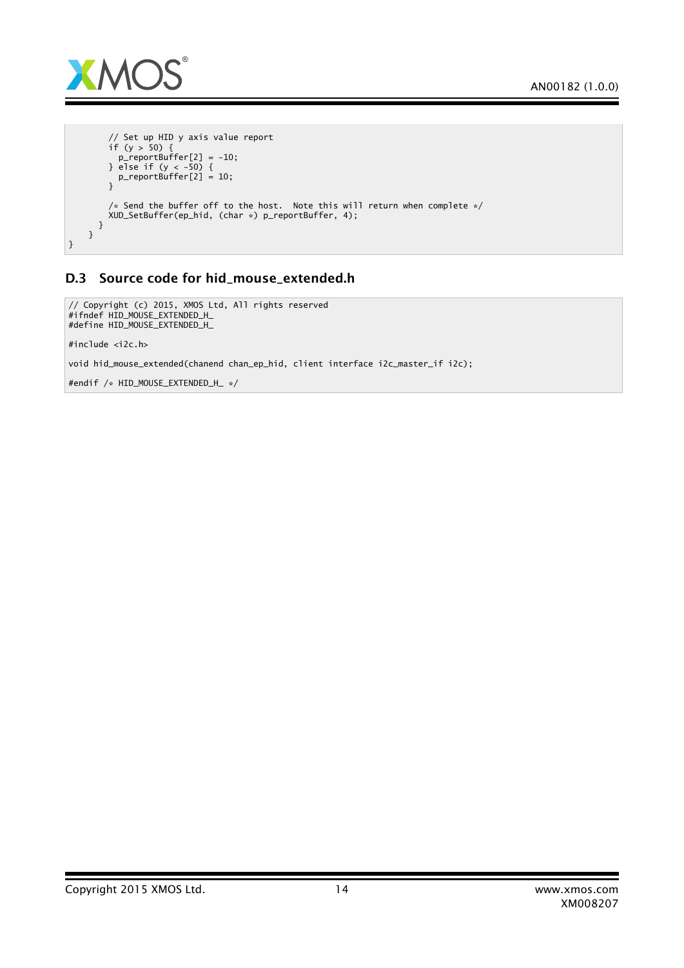

```
// Set up HID y axis value report
        if (y > 50) {
          p_reportBuffer[2] = -10;} else if (y < -50) {
          p_reportBuffer[2] = 10;
        }
        /* Send the buffer off to the host. Note this will return when complete */XUD_SetBuffer(ep_hid, (char *) p_reportBuffer, 4);
      }
    }
}
```
### D.3 Source code for hid\_mouse\_extended.h

```
// Copyright (c) 2015, XMOS Ltd, All rights reserved
#ifndef HID_MOUSE_EXTENDED_H_
#define HID_MOUSE_EXTENDED_H_
```
#include <i2c.h>

void hid\_mouse\_extended(chanend chan\_ep\_hid, client interface i2c\_master\_if i2c);

#endif /\* HID\_MOUSE\_EXTENDED\_H\_ \*/